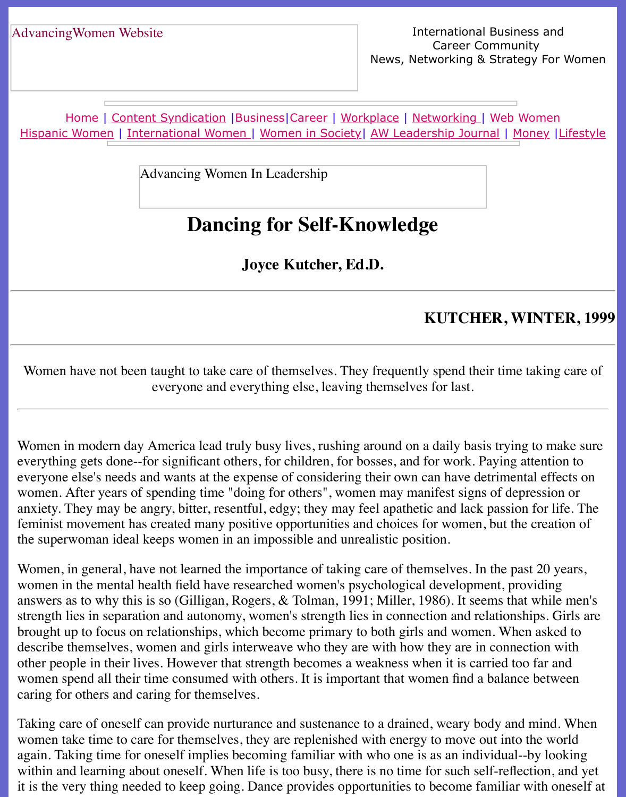Home | Content Syndication | Business | Career | Workplace | Networking | Web Wo Hispanic Women | International Women | Women in Society | AW Leadership Journal | Mon

Advancing Women In Leadership

# **[Danc](file:///content.html)[ing fo](file:///business.html)[r Self](file:///awcareer.html)[-](file:///Users/nrahman/Dropbox/AWL/womsoc/index.html)[Knowl](file:///workplace.html)[e](file:///awl/awl.html)[dge](file:///networks.html)**

**Joyce Kutcher, Ed.D.**

## **KUTCHER, WI**

Women have not been taught to take care of themselves. They frequently spend their time taking care to everyone and everything else, leaving themselves for last.

Women in modern day America lead truly busy lives, rushing around on a daily basis trying everything gets done--for significant others, for children, for bosses, and for work. Paying at everyone else's needs and wants at the expense of considering their own can have detrimental events on  $\mathbf{r}$ women. After years of spending time "doing for others", women may manifest signs of depression or anxiety. They may be angry, bitter, resentful, edgy; they may feel apathetic and lack passion feminist movement has created many positive opportunities and choices for women, but the the superwoman ideal keeps women in an impossible and unrealistic position.

Women, in general, have not learned the importance of taking care of themselves. In the past women in the mental health field have researched women's psychological development, prov answers as to why this is so (Gilligan, Rogers,  $&$  Tolman, 1991; Miller, 1986). It seems that strength lies in separation and autonomy, women's strength lies in connection and relationships. brought up to focus on relationships, which become primary to both girls and women. When describe themselves, women and girls interweave who they are with how they are in connect other people in their lives. However that strength becomes a weakness when it is carried too women spend all their time consumed with others. It is important that women find a balance caring for others and caring for themselves.

Taking care of oneself can provide nurturance and sustenance to a drained, weary body and r women take time to care for themselves, they are replenished with energy to move out into the world again. Taking time for oneself implies becoming familiar with who one is as an individual--b within and learning about oneself. When life is too busy, there is no time for such self-reflect it is the very thing needed to keep going. Dance provides opportunities to become familiar w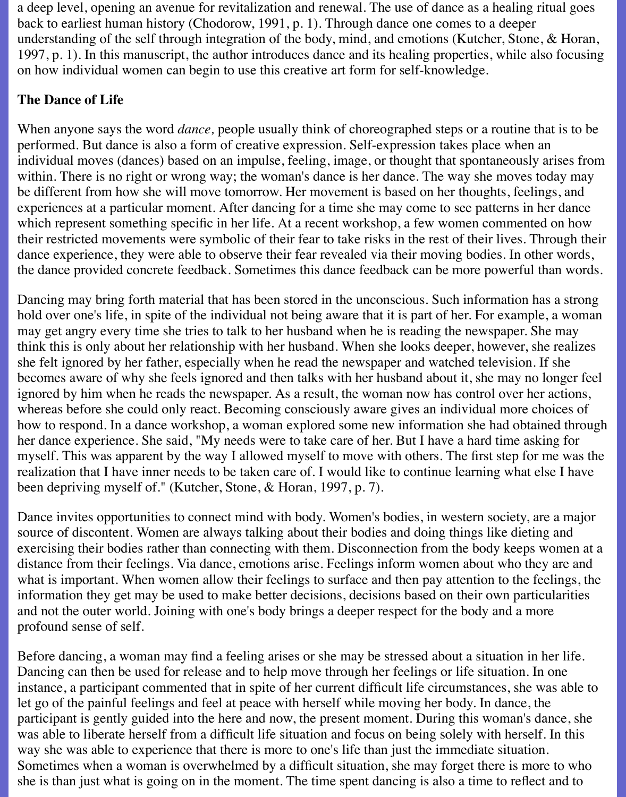a deep level, opening an avenue for revitalization and renewal. The use of dance as a healing ritual goes back to earliest human history (Chodorow, 1991, p. 1). Through dance one comes to a deeper understanding of the self through integration of the body, mind, and emotions (Kutcher, Stone, & Horan, 1997, p. 1). In this manuscript, the author introduces dance and its healing properties, while also focusing on how individual women can begin to use this creative art form for self-knowledge.

### **The Dance of Life**

When anyone says the word *dance,* people usually think of choreographed steps or a routine that is to be performed. But dance is also a form of creative expression. Self-expression takes place when an individual moves (dances) based on an impulse, feeling, image, or thought that spontaneously arises from within. There is no right or wrong way; the woman's dance is her dance. The way she moves today may be different from how she will move tomorrow. Her movement is based on her thoughts, feelings, and experiences at a particular moment. After dancing for a time she may come to see patterns in her dance which represent something specific in her life. At a recent workshop, a few women commented on how their restricted movements were symbolic of their fear to take risks in the rest of their lives. Through their dance experience, they were able to observe their fear revealed via their moving bodies. In other words, the dance provided concrete feedback. Sometimes this dance feedback can be more powerful than words.

Dancing may bring forth material that has been stored in the unconscious. Such information has a strong hold over one's life, in spite of the individual not being aware that it is part of her. For example, a woman may get angry every time she tries to talk to her husband when he is reading the newspaper. She may think this is only about her relationship with her husband. When she looks deeper, however, she realizes she felt ignored by her father, especially when he read the newspaper and watched television. If she becomes aware of why she feels ignored and then talks with her husband about it, she may no longer feel ignored by him when he reads the newspaper. As a result, the woman now has control over her actions, whereas before she could only react. Becoming consciously aware gives an individual more choices of how to respond. In a dance workshop, a woman explored some new information she had obtained through her dance experience. She said, "My needs were to take care of her. But I have a hard time asking for myself. This was apparent by the way I allowed myself to move with others. The first step for me was the realization that I have inner needs to be taken care of. I would like to continue learning what else I have been depriving myself of." (Kutcher, Stone, & Horan, 1997, p. 7).

Dance invites opportunities to connect mind with body. Women's bodies, in western society, are a major source of discontent. Women are always talking about their bodies and doing things like dieting and exercising their bodies rather than connecting with them. Disconnection from the body keeps women at a distance from their feelings. Via dance, emotions arise. Feelings inform women about who they are and what is important. When women allow their feelings to surface and then pay attention to the feelings, the information they get may be used to make better decisions, decisions based on their own particularities and not the outer world. Joining with one's body brings a deeper respect for the body and a more profound sense of self.

Before dancing, a woman may find a feeling arises or she may be stressed about a situation in her life. Dancing can then be used for release and to help move through her feelings or life situation. In one instance, a participant commented that in spite of her current difficult life circumstances, she was able to let go of the painful feelings and feel at peace with herself while moving her body. In dance, the participant is gently guided into the here and now, the present moment. During this woman's dance, she was able to liberate herself from a difficult life situation and focus on being solely with herself. In this way she was able to experience that there is more to one's life than just the immediate situation. Sometimes when a woman is overwhelmed by a difficult situation, she may forget there is more to who she is than just what is going on in the moment. The time spent dancing is also a time to reflect and to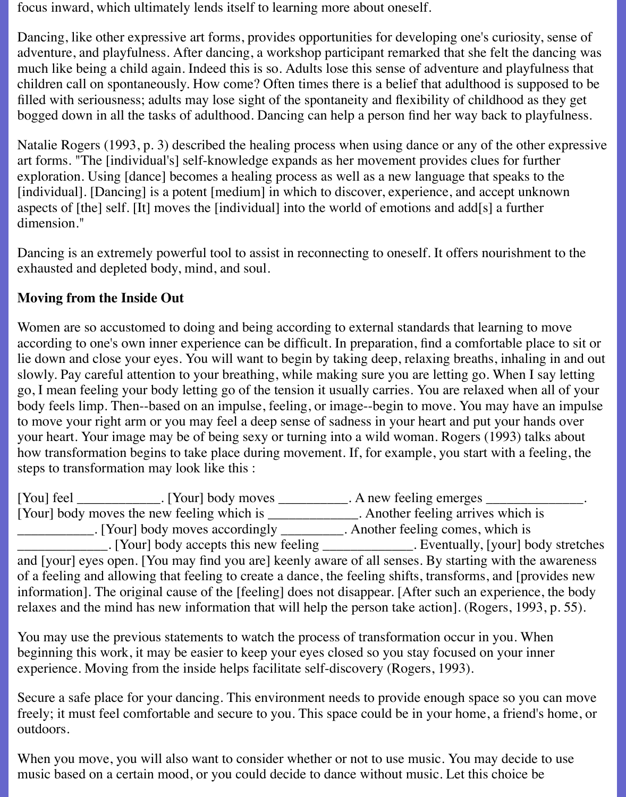focus inward, which ultimately lends itself to learning more about oneself.

Dancing, like other expressive art forms, provides opportunities for developing one's curiosity, sense of adventure, and playfulness. After dancing, a workshop participant remarked that she felt the dancing was much like being a child again. Indeed this is so. Adults lose this sense of adventure and playfulness that children call on spontaneously. How come? Often times there is a belief that adulthood is supposed to be filled with seriousness; adults may lose sight of the spontaneity and flexibility of childhood as they get bogged down in all the tasks of adulthood. Dancing can help a person find her way back to playfulness.

Natalie Rogers (1993, p. 3) described the healing process when using dance or any of the other expressive art forms. "The [individual's] self-knowledge expands as her movement provides clues for further exploration. Using [dance] becomes a healing process as well as a new language that speaks to the [individual]. [Dancing] is a potent [medium] in which to discover, experience, and accept unknown aspects of [the] self. [It] moves the [individual] into the world of emotions and add[s] a further dimension."

Dancing is an extremely powerful tool to assist in reconnecting to oneself. It offers nourishment to the exhausted and depleted body, mind, and soul.

# **Moving from the Inside Out**

Women are so accustomed to doing and being according to external standards that learning to move according to one's own inner experience can be difficult. In preparation, find a comfortable place to sit or lie down and close your eyes. You will want to begin by taking deep, relaxing breaths, inhaling in and out slowly. Pay careful attention to your breathing, while making sure you are letting go. When I say letting go, I mean feeling your body letting go of the tension it usually carries. You are relaxed when all of your body feels limp. Then--based on an impulse, feeling, or image--begin to move. You may have an impulse to move your right arm or you may feel a deep sense of sadness in your heart and put your hands over your heart. Your image may be of being sexy or turning into a wild woman. Rogers (1993) talks about how transformation begins to take place during movement. If, for example, you start with a feeling, the steps to transformation may look like this :

[You] feel \_\_\_\_\_\_\_\_\_\_\_\_. [Your] body moves \_\_\_\_\_\_\_\_\_. A new feeling emerges \_\_\_\_\_\_\_\_\_\_ [Your] body moves the new feeling which is \_\_\_\_\_\_\_\_\_\_\_\_\_\_. Another feeling arrives which is \_\_\_\_\_\_\_\_\_\_\_. [Your] body moves accordingly \_\_\_\_\_\_\_\_\_. Another feeling comes, which is \_\_\_\_\_\_\_\_\_\_\_\_\_. [Your] body accepts this new feeling \_\_\_\_\_\_\_\_\_\_\_\_\_. Eventually, [your] body stretches and [your] eyes open. [You may find you are] keenly aware of all senses. By starting with the awareness of a feeling and allowing that feeling to create a dance, the feeling shifts, transforms, and [provides new information]. The original cause of the [feeling] does not disappear. [After such an experience, the body relaxes and the mind has new information that will help the person take action]. (Rogers, 1993, p. 55).

You may use the previous statements to watch the process of transformation occur in you. When beginning this work, it may be easier to keep your eyes closed so you stay focused on your inner experience. Moving from the inside helps facilitate self-discovery (Rogers, 1993).

Secure a safe place for your dancing. This environment needs to provide enough space so you can move freely; it must feel comfortable and secure to you. This space could be in your home, a friend's home, or outdoors.

When you move, you will also want to consider whether or not to use music. You may decide to use music based on a certain mood, or you could decide to dance without music. Let this choice be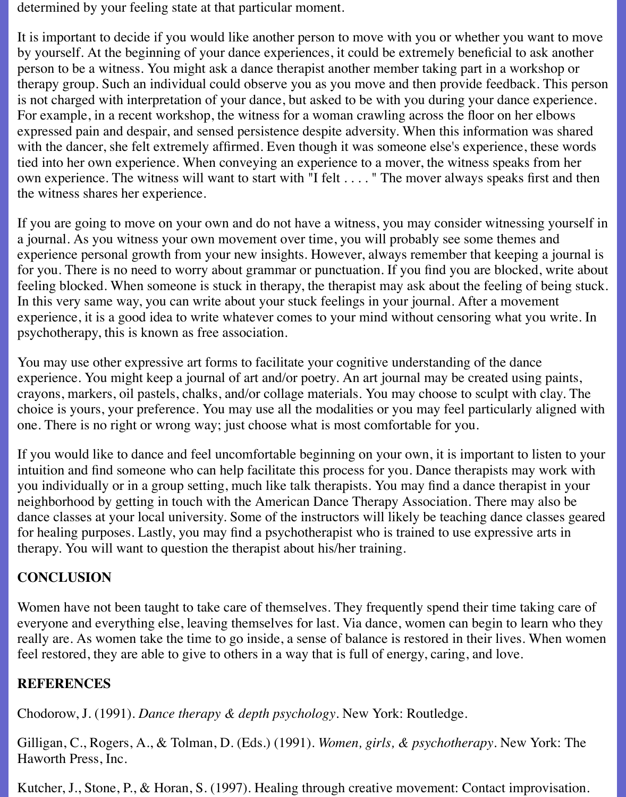determined by your feeling state at that particular moment.

It is important to decide if you would like another person to move with you or whether you want to move by yourself. At the beginning of your dance experiences, it could be extremely beneficial to ask another person to be a witness. You might ask a dance therapist another member taking part in a workshop or therapy group. Such an individual could observe you as you move and then provide feedback. This person is not charged with interpretation of your dance, but asked to be with you during your dance experience. For example, in a recent workshop, the witness for a woman crawling across the floor on her elbows expressed pain and despair, and sensed persistence despite adversity. When this information was shared with the dancer, she felt extremely affirmed. Even though it was someone else's experience, these words tied into her own experience. When conveying an experience to a mover, the witness speaks from her own experience. The witness will want to start with "I felt . . . . " The mover always speaks first and then the witness shares her experience.

If you are going to move on your own and do not have a witness, you may consider witnessing yourself in a journal. As you witness your own movement over time, you will probably see some themes and experience personal growth from your new insights. However, always remember that keeping a journal is for you. There is no need to worry about grammar or punctuation. If you find you are blocked, write about feeling blocked. When someone is stuck in therapy, the therapist may ask about the feeling of being stuck. In this very same way, you can write about your stuck feelings in your journal. After a movement experience, it is a good idea to write whatever comes to your mind without censoring what you write. In psychotherapy, this is known as free association.

You may use other expressive art forms to facilitate your cognitive understanding of the dance experience. You might keep a journal of art and/or poetry. An art journal may be created using paints, crayons, markers, oil pastels, chalks, and/or collage materials. You may choose to sculpt with clay. The choice is yours, your preference. You may use all the modalities or you may feel particularly aligned with one. There is no right or wrong way; just choose what is most comfortable for you.

If you would like to dance and feel uncomfortable beginning on your own, it is important to listen to your intuition and find someone who can help facilitate this process for you. Dance therapists may work with you individually or in a group setting, much like talk therapists. You may find a dance therapist in your neighborhood by getting in touch with the American Dance Therapy Association. There may also be dance classes at your local university. Some of the instructors will likely be teaching dance classes geared for healing purposes. Lastly, you may find a psychotherapist who is trained to use expressive arts in therapy. You will want to question the therapist about his/her training.

# **CONCLUSION**

Women have not been taught to take care of themselves. They frequently spend their time taking care of everyone and everything else, leaving themselves for last. Via dance, women can begin to learn who they really are. As women take the time to go inside, a sense of balance is restored in their lives. When women feel restored, they are able to give to others in a way that is full of energy, caring, and love.

#### **REFERENCES**

Chodorow, J. (1991). *Dance therapy & depth psychology*. New York: Routledge.

Gilligan, C., Rogers, A., & Tolman, D. (Eds.) (1991). *Women, girls, & psychotherapy*. New York: The Haworth Press, Inc.

Kutcher, J., Stone, P., & Horan, S. (1997). Healing through creative movement: Contact improvisation.